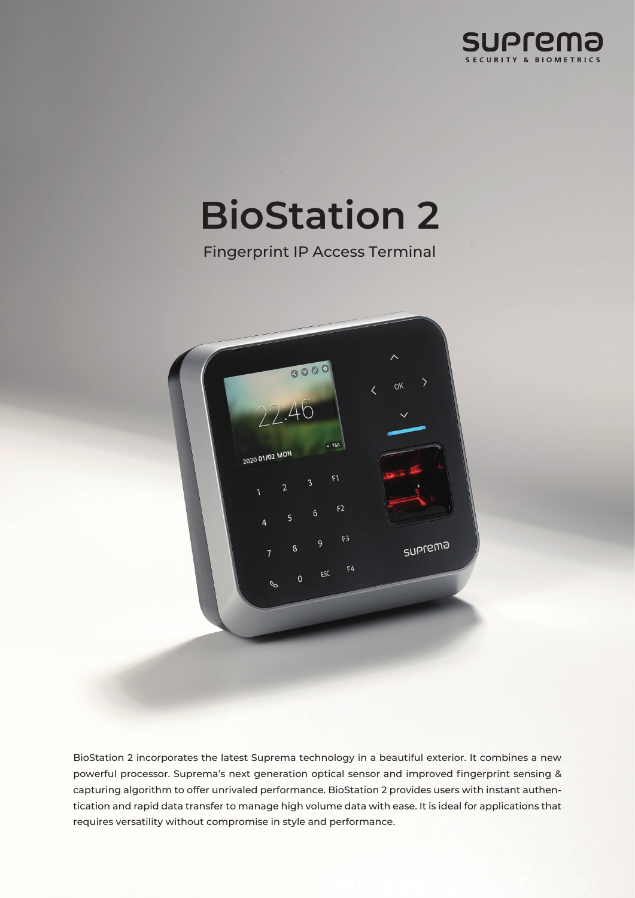

# **BioStation 2**

Fingerprint IP Access Terminal



BioStation 2 incorporates the latest Suprema technology in a beautiful exterior. It combines a new powerful processor. Suprema's next generation optical sensor and improved fingerprint sensing & capturing algorithm to offer unrivaled performance. BioStation 2 provides users with instant authentication and rapid data transfer to manage high volume data with ease. It is ideal for applications that requires versatility without compromise in style and performance.